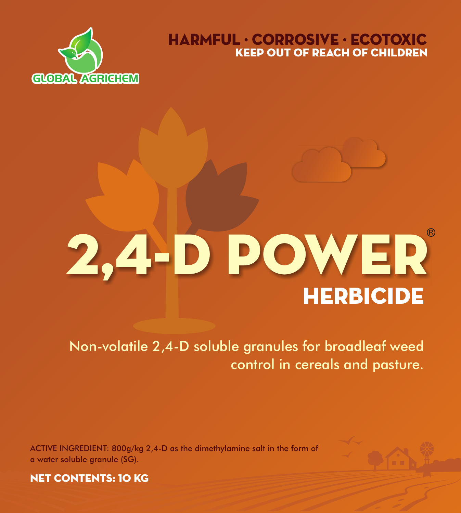

# KEEP OUT OF REACH OF CHILDREN HARMFUL · CORROSIVE · ECOTOXIC

# **HERBICIDE** 2,4-D POWER

Non-volatile 2,4-D soluble granules for broadleaf weed control in cereals and pasture.

ACTIVE INGREDIENT: 800g/kg 2,4-D as the dimethylamine salt in the form of a water soluble granule (SG).



**NET CONTENTS: 10 KG**